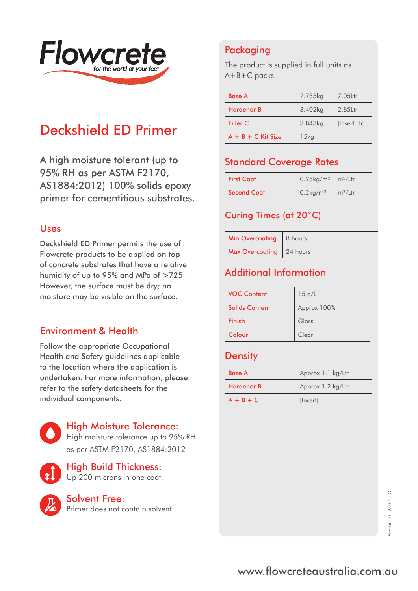

# Deckshield ED Primer

A high moisture tolerant (up to 95% RH as per ASTM F2170, AS1884:2012) 100% solids epoxy primer for cementitious substrates.

#### Uses

Deckshield ED Primer permits the use of Flowcrete products to be applied on top of concrete substrates that have a relative humidity of up to 95% and MPa of >725. However, the surface must be dry; no moisture may be visible on the surface.

#### Environment & Health

Follow the appropriate Occupational Health and Safety guidelines applicable to the location where the application is undertaken. For more information, please refer to the safety datasheets for the individual components.



#### High Moisture Tolerance:

High moisture tolerance up to 95% RH as per ASTM F2170, AS1884:2012



# High Build Thickness:

Up 200 microns in one coat.



#### Solvent Free:

Primer does not contain solvent.

## Packaging

The product is supplied in full units as A+B+C packs.

| <b>Base A</b>        | 7.755kg | 7.05Ltr      |
|----------------------|---------|--------------|
| <b>Hardener B</b>    | 3.402kg | 2.85Ltr      |
| Filler C             | 3.843kg | [Insert Ltr] |
| $A + B + C$ Kit Size | $15$ kg |              |

## Standard Coverage Rates

| <b>First Coat</b>  | $0.25$ kg/m <sup>2</sup> m <sup>2</sup> /Ltr |                 |
|--------------------|----------------------------------------------|-----------------|
| <b>Second Coat</b> | $0.2$ kg/m <sup>2</sup>                      | $\rm{m^2/}$ Ltr |

#### Curing Times (at 20˚C)

| Min Overcoating   8 hours |  |
|---------------------------|--|
| Max Overcoating 24 hours  |  |

## Additional Information

| <b>VOC Content</b>    | 15 g/L      |
|-----------------------|-------------|
| <b>Solids Content</b> | Approx 100% |
| Finish                | Gloss       |
| Colour                | Clear       |

#### **Density**

| <b>Base A</b> | Approx 1.1 kg/Ltr |
|---------------|-------------------|
| Hardener B    | Approx 1.2 kg/Ltr |
| $A + B + C$   | [Insert]          |